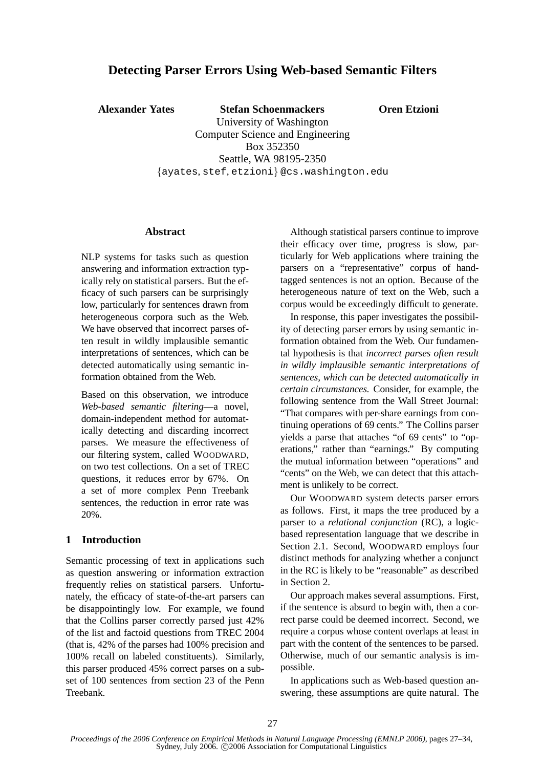# **Detecting Parser Errors Using Web-based Semantic Filters**

**Alexander Yates Stefan Schoenmackers**

**Oren Etzioni**

University of Washington Computer Science and Engineering Box 352350 Seattle, WA 98195-2350 {ayates, stef, etzioni} @cs.washington.edu

#### **Abstract**

NLP systems for tasks such as question answering and information extraction typically rely on statistical parsers. But the efficacy of such parsers can be surprisingly low, particularly for sentences drawn from heterogeneous corpora such as the Web. We have observed that incorrect parses often result in wildly implausible semantic interpretations of sentences, which can be detected automatically using semantic information obtained from the Web.

Based on this observation, we introduce *Web-based semantic filtering*—a novel, domain-independent method for automatically detecting and discarding incorrect parses. We measure the effectiveness of our filtering system, called WOODWARD, on two test collections. On a set of TREC questions, it reduces error by 67%. On a set of more complex Penn Treebank sentences, the reduction in error rate was 20%.

## **1 Introduction**

Semantic processing of text in applications such as question answering or information extraction frequently relies on statistical parsers. Unfortunately, the efficacy of state-of-the-art parsers can be disappointingly low. For example, we found that the Collins parser correctly parsed just 42% of the list and factoid questions from TREC 2004 (that is, 42% of the parses had 100% precision and 100% recall on labeled constituents). Similarly, this parser produced 45% correct parses on a subset of 100 sentences from section 23 of the Penn Treebank.

Although statistical parsers continue to improve their efficacy over time, progress is slow, particularly for Web applications where training the parsers on a "representative" corpus of handtagged sentences is not an option. Because of the heterogeneous nature of text on the Web, such a corpus would be exceedingly difficult to generate.

In response, this paper investigates the possibility of detecting parser errors by using semantic information obtained from the Web. Our fundamental hypothesis is that *incorrect parses often result in wildly implausible semantic interpretations of sentences, which can be detected automatically in certain circumstances.* Consider, for example, the following sentence from the Wall Street Journal: "That compares with per-share earnings from continuing operations of 69 cents." The Collins parser yields a parse that attaches "of 69 cents" to "operations," rather than "earnings." By computing the mutual information between "operations" and "cents" on the Web, we can detect that this attachment is unlikely to be correct.

Our WOODWARD system detects parser errors as follows. First, it maps the tree produced by a parser to a *relational conjunction* (RC), a logicbased representation language that we describe in Section 2.1. Second, WOODWARD employs four distinct methods for analyzing whether a conjunct in the RC is likely to be "reasonable" as described in Section 2.

Our approach makes several assumptions. First, if the sentence is absurd to begin with, then a correct parse could be deemed incorrect. Second, we require a corpus whose content overlaps at least in part with the content of the sentences to be parsed. Otherwise, much of our semantic analysis is impossible.

In applications such as Web-based question answering, these assumptions are quite natural. The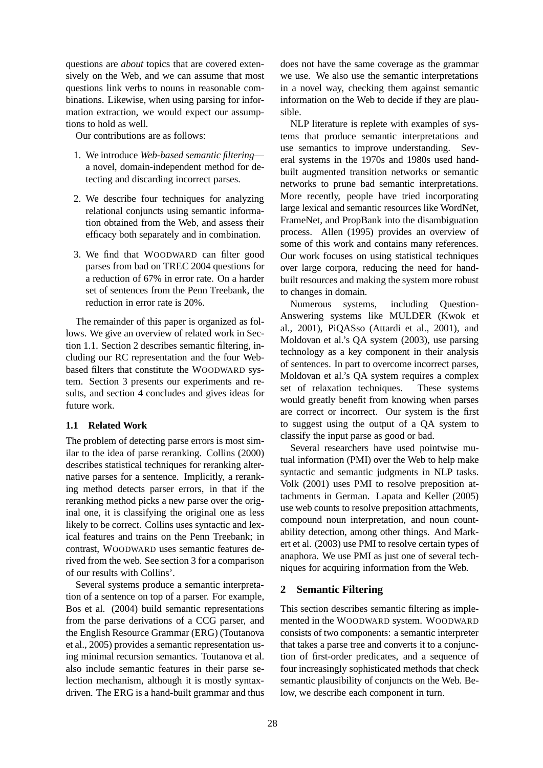questions are *about* topics that are covered extensively on the Web, and we can assume that most questions link verbs to nouns in reasonable combinations. Likewise, when using parsing for information extraction, we would expect our assumptions to hold as well.

Our contributions are as follows:

- 1. We introduce *Web-based semantic filtering* a novel, domain-independent method for detecting and discarding incorrect parses.
- 2. We describe four techniques for analyzing relational conjuncts using semantic information obtained from the Web, and assess their efficacy both separately and in combination.
- 3. We find that WOODWARD can filter good parses from bad on TREC 2004 questions for a reduction of 67% in error rate. On a harder set of sentences from the Penn Treebank, the reduction in error rate is 20%.

The remainder of this paper is organized as follows. We give an overview of related work in Section 1.1. Section 2 describes semantic filtering, including our RC representation and the four Webbased filters that constitute the WOODWARD system. Section 3 presents our experiments and results, and section 4 concludes and gives ideas for future work.

## **1.1 Related Work**

The problem of detecting parse errors is most similar to the idea of parse reranking. Collins (2000) describes statistical techniques for reranking alternative parses for a sentence. Implicitly, a reranking method detects parser errors, in that if the reranking method picks a new parse over the original one, it is classifying the original one as less likely to be correct. Collins uses syntactic and lexical features and trains on the Penn Treebank; in contrast, WOODWARD uses semantic features derived from the web. See section 3 for a comparison of our results with Collins'.

Several systems produce a semantic interpretation of a sentence on top of a parser. For example, Bos et al. (2004) build semantic representations from the parse derivations of a CCG parser, and the English Resource Grammar (ERG) (Toutanova et al., 2005) provides a semantic representation using minimal recursion semantics. Toutanova et al. also include semantic features in their parse selection mechanism, although it is mostly syntaxdriven. The ERG is a hand-built grammar and thus

does not have the same coverage as the grammar we use. We also use the semantic interpretations in a novel way, checking them against semantic information on the Web to decide if they are plausible.

NLP literature is replete with examples of systems that produce semantic interpretations and use semantics to improve understanding. Several systems in the 1970s and 1980s used handbuilt augmented transition networks or semantic networks to prune bad semantic interpretations. More recently, people have tried incorporating large lexical and semantic resources like WordNet, FrameNet, and PropBank into the disambiguation process. Allen (1995) provides an overview of some of this work and contains many references. Our work focuses on using statistical techniques over large corpora, reducing the need for handbuilt resources and making the system more robust to changes in domain.

Numerous systems, including Question-Answering systems like MULDER (Kwok et al., 2001), PiQASso (Attardi et al., 2001), and Moldovan et al.'s QA system (2003), use parsing technology as a key component in their analysis of sentences. In part to overcome incorrect parses, Moldovan et al.'s QA system requires a complex set of relaxation techniques. These systems would greatly benefit from knowing when parses are correct or incorrect. Our system is the first to suggest using the output of a QA system to classify the input parse as good or bad.

Several researchers have used pointwise mutual information (PMI) over the Web to help make syntactic and semantic judgments in NLP tasks. Volk (2001) uses PMI to resolve preposition attachments in German. Lapata and Keller (2005) use web counts to resolve preposition attachments, compound noun interpretation, and noun countability detection, among other things. And Markert et al. (2003) use PMI to resolve certain types of anaphora. We use PMI as just one of several techniques for acquiring information from the Web.

## **2 Semantic Filtering**

This section describes semantic filtering as implemented in the WOODWARD system. WOODWARD consists of two components: a semantic interpreter that takes a parse tree and converts it to a conjunction of first-order predicates, and a sequence of four increasingly sophisticated methods that check semantic plausibility of conjuncts on the Web. Below, we describe each component in turn.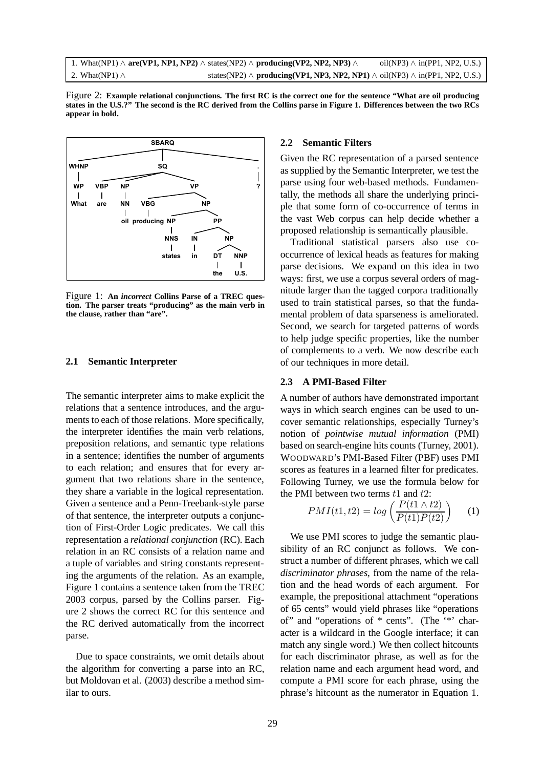



Figure 1: **An** *incorrect* **Collins Parse of a TREC question. The parser treats "producing" as the main verb in the clause, rather than "are".**

#### **2.1 Semantic Interpreter**

The semantic interpreter aims to make explicit the relations that a sentence introduces, and the arguments to each of those relations. More specifically, the interpreter identifies the main verb relations, preposition relations, and semantic type relations in a sentence; identifies the number of arguments to each relation; and ensures that for every argument that two relations share in the sentence, they share a variable in the logical representation. Given a sentence and a Penn-Treebank-style parse of that sentence, the interpreter outputs a conjunction of First-Order Logic predicates. We call this representation a *relational conjunction* (RC). Each relation in an RC consists of a relation name and a tuple of variables and string constants representing the arguments of the relation. As an example, Figure 1 contains a sentence taken from the TREC 2003 corpus, parsed by the Collins parser. Figure 2 shows the correct RC for this sentence and the RC derived automatically from the incorrect parse.

Due to space constraints, we omit details about the algorithm for converting a parse into an RC, but Moldovan et al. (2003) describe a method similar to ours.

#### **2.2 Semantic Filters**

Given the RC representation of a parsed sentence as supplied by the Semantic Interpreter, we test the parse using four web-based methods. Fundamentally, the methods all share the underlying principle that some form of co-occurrence of terms in the vast Web corpus can help decide whether a proposed relationship is semantically plausible.

Traditional statistical parsers also use cooccurrence of lexical heads as features for making parse decisions. We expand on this idea in two ways: first, we use a corpus several orders of magnitude larger than the tagged corpora traditionally used to train statistical parses, so that the fundamental problem of data sparseness is ameliorated. Second, we search for targeted patterns of words to help judge specific properties, like the number of complements to a verb. We now describe each of our techniques in more detail.

#### **2.3 A PMI-Based Filter**

A number of authors have demonstrated important ways in which search engines can be used to uncover semantic relationships, especially Turney's notion of *pointwise mutual information* (PMI) based on search-engine hits counts (Turney, 2001). WOODWARD's PMI-Based Filter (PBF) uses PMI scores as features in a learned filter for predicates. Following Turney, we use the formula below for the PMI between two terms  $t1$  and  $t2$ :

$$
PMI(t1, t2) = \log\left(\frac{P(t1 \wedge t2)}{P(t1)P(t2)}\right) \tag{1}
$$

We use PMI scores to judge the semantic plausibility of an RC conjunct as follows. We construct a number of different phrases, which we call *discriminator phrases*, from the name of the relation and the head words of each argument. For example, the prepositional attachment "operations of 65 cents" would yield phrases like "operations of" and "operations of \* cents". (The '\*' character is a wildcard in the Google interface; it can match any single word.) We then collect hitcounts for each discriminator phrase, as well as for the relation name and each argument head word, and compute a PMI score for each phrase, using the phrase's hitcount as the numerator in Equation 1.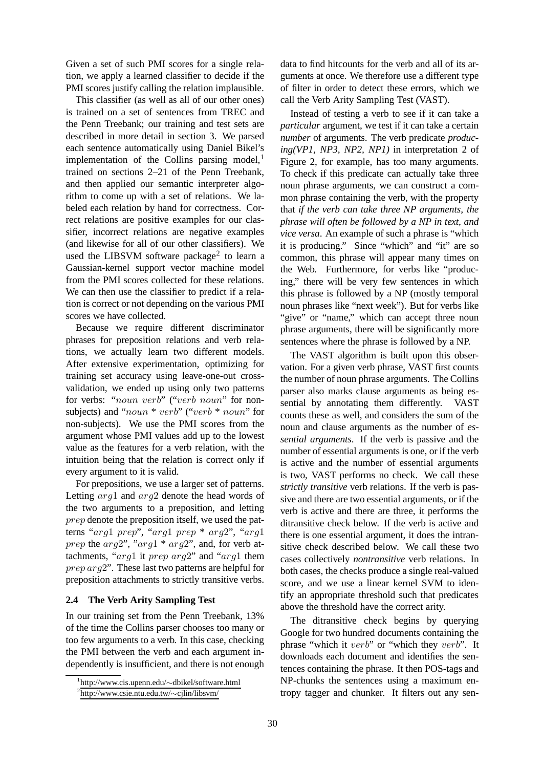Given a set of such PMI scores for a single relation, we apply a learned classifier to decide if the PMI scores justify calling the relation implausible.

This classifier (as well as all of our other ones) is trained on a set of sentences from TREC and the Penn Treebank; our training and test sets are described in more detail in section 3. We parsed each sentence automatically using Daniel Bikel's implementation of the Collins parsing model, $<sup>1</sup>$ </sup> trained on sections 2–21 of the Penn Treebank, and then applied our semantic interpreter algorithm to come up with a set of relations. We labeled each relation by hand for correctness. Correct relations are positive examples for our classifier, incorrect relations are negative examples (and likewise for all of our other classifiers). We used the LIBSVM software package<sup>2</sup> to learn a Gaussian-kernel support vector machine model from the PMI scores collected for these relations. We can then use the classifier to predict if a relation is correct or not depending on the various PMI scores we have collected.

Because we require different discriminator phrases for preposition relations and verb relations, we actually learn two different models. After extensive experimentation, optimizing for training set accuracy using leave-one-out crossvalidation, we ended up using only two patterns for verbs: "noun verb" ("verb noun" for nonsubjects) and "noun \* verb" ("verb \* noun" for non-subjects). We use the PMI scores from the argument whose PMI values add up to the lowest value as the features for a verb relation, with the intuition being that the relation is correct only if every argument to it is valid.

For prepositions, we use a larger set of patterns. Letting *arg*1 and *arg*2 denote the head words of the two arguments to a preposition, and letting prep denote the preposition itself, we used the patterns "arg1 prep", "arg1 prep \* arg2", "arg1 prep the  $arg2$ ", " $arg1 * arg2$ ", and, for verb attachments, "arg1 it prep arg2" and "arg1 them prep arg2". These last two patterns are helpful for preposition attachments to strictly transitive verbs.

## **2.4 The Verb Arity Sampling Test**

In our training set from the Penn Treebank, 13% of the time the Collins parser chooses too many or too few arguments to a verb. In this case, checking the PMI between the verb and each argument independently is insufficient, and there is not enough

data to find hitcounts for the verb and all of its arguments at once. We therefore use a different type of filter in order to detect these errors, which we call the Verb Arity Sampling Test (VAST).

Instead of testing a verb to see if it can take a *particular* argument, we test if it can take a certain *number* of arguments. The verb predicate *producing(VP1, NP3, NP2, NP1)* in interpretation 2 of Figure 2, for example, has too many arguments. To check if this predicate can actually take three noun phrase arguments, we can construct a common phrase containing the verb, with the property that *if the verb can take three NP arguments, the phrase will often be followed by a NP in text, and vice versa*. An example of such a phrase is "which it is producing." Since "which" and "it" are so common, this phrase will appear many times on the Web. Furthermore, for verbs like "producing," there will be very few sentences in which this phrase is followed by a NP (mostly temporal noun phrases like "next week"). But for verbs like "give" or "name," which can accept three noun phrase arguments, there will be significantly more sentences where the phrase is followed by a NP.

The VAST algorithm is built upon this observation. For a given verb phrase, VAST first counts the number of noun phrase arguments. The Collins parser also marks clause arguments as being essential by annotating them differently. VAST counts these as well, and considers the sum of the noun and clause arguments as the number of *essential arguments*. If the verb is passive and the number of essential arguments is one, or if the verb is active and the number of essential arguments is two, VAST performs no check. We call these *strictly transitive* verb relations. If the verb is passive and there are two essential arguments, or if the verb is active and there are three, it performs the ditransitive check below. If the verb is active and there is one essential argument, it does the intransitive check described below. We call these two cases collectively *nontransitive* verb relations. In both cases, the checks produce a single real-valued score, and we use a linear kernel SVM to identify an appropriate threshold such that predicates above the threshold have the correct arity.

The ditransitive check begins by querying Google for two hundred documents containing the phrase "which it verb" or "which they verb". It downloads each document and identifies the sentences containing the phrase. It then POS-tags and NP-chunks the sentences using a maximum entropy tagger and chunker. It filters out any sen-

<sup>1</sup> http://www.cis.upenn.edu/∼dbikel/software.html

<sup>2</sup> http://www.csie.ntu.edu.tw/∼cjlin/libsvm/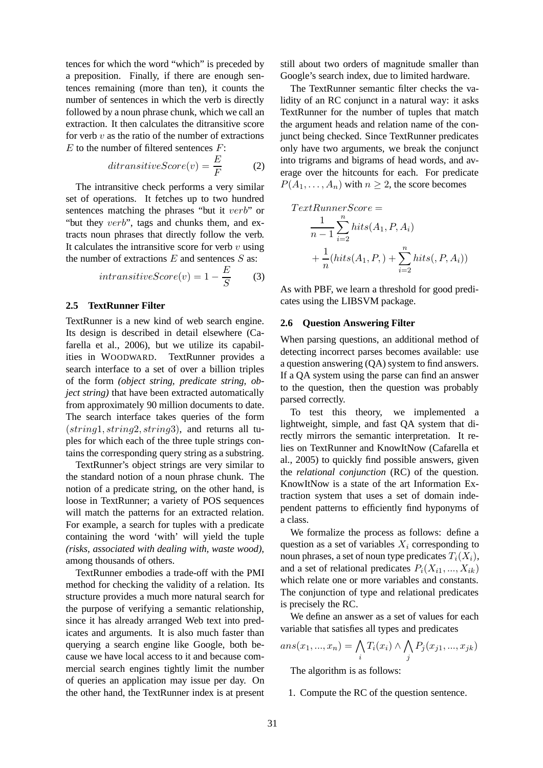tences for which the word "which" is preceded by a preposition. Finally, if there are enough sentences remaining (more than ten), it counts the number of sentences in which the verb is directly followed by a noun phrase chunk, which we call an extraction. It then calculates the ditransitive score for verb  $v$  as the ratio of the number of extractions  $E$  to the number of filtered sentences  $F$ :

$$
ditransitiveScore(v) = \frac{E}{F}
$$
 (2)

The intransitive check performs a very similar set of operations. It fetches up to two hundred sentences matching the phrases "but it verb" or "but they verb", tags and chunks them, and extracts noun phrases that directly follow the verb. It calculates the intransitive score for verb  $v$  using the number of extractions  $E$  and sentences  $S$  as:

$$
intransitiveScore(v) = 1 - \frac{E}{S} \tag{3}
$$

#### **2.5 TextRunner Filter**

TextRunner is a new kind of web search engine. Its design is described in detail elsewhere (Cafarella et al., 2006), but we utilize its capabilities in WOODWARD. TextRunner provides a search interface to a set of over a billion triples of the form *(object string, predicate string, object string)* that have been extracted automatically from approximately 90 million documents to date. The search interface takes queries of the form  $(string1, string2, string3),$  and returns all tuples for which each of the three tuple strings contains the corresponding query string as a substring.

TextRunner's object strings are very similar to the standard notion of a noun phrase chunk. The notion of a predicate string, on the other hand, is loose in TextRunner; a variety of POS sequences will match the patterns for an extracted relation. For example, a search for tuples with a predicate containing the word 'with' will yield the tuple *(risks, associated with dealing with, waste wood)*, among thousands of others.

TextRunner embodies a trade-off with the PMI method for checking the validity of a relation. Its structure provides a much more natural search for the purpose of verifying a semantic relationship, since it has already arranged Web text into predicates and arguments. It is also much faster than querying a search engine like Google, both because we have local access to it and because commercial search engines tightly limit the number of queries an application may issue per day. On the other hand, the TextRunner index is at present still about two orders of magnitude smaller than Google's search index, due to limited hardware.

The TextRunner semantic filter checks the validity of an RC conjunct in a natural way: it asks TextRunner for the number of tuples that match the argument heads and relation name of the conjunct being checked. Since TextRunner predicates only have two arguments, we break the conjunct into trigrams and bigrams of head words, and average over the hitcounts for each. For predicate  $P(A_1, \ldots, A_n)$  with  $n \geq 2$ , the score becomes

$$
TextRunnerScore =
$$
  
\n
$$
\frac{1}{n-1} \sum_{i=2}^{n} hits(A_1, P, A_i)
$$
  
\n
$$
+ \frac{1}{n}(hits(A_1, P, ) + \sum_{i=2}^{n} hits(, P, A_i))
$$

As with PBF, we learn a threshold for good predicates using the LIBSVM package.

#### **2.6 Question Answering Filter**

When parsing questions, an additional method of detecting incorrect parses becomes available: use a question answering (QA) system to find answers. If a QA system using the parse can find an answer to the question, then the question was probably parsed correctly.

To test this theory, we implemented a lightweight, simple, and fast QA system that directly mirrors the semantic interpretation. It relies on TextRunner and KnowItNow (Cafarella et al., 2005) to quickly find possible answers, given the *relational conjunction* (RC) of the question. KnowItNow is a state of the art Information Extraction system that uses a set of domain independent patterns to efficiently find hyponyms of a class.

We formalize the process as follows: define a question as a set of variables  $X_i$  corresponding to noun phrases, a set of noun type predicates  $T_i(X_i)$ , and a set of relational predicates  $P_i(X_{i1},...,X_{ik})$ which relate one or more variables and constants. The conjunction of type and relational predicates is precisely the RC.

We define an answer as a set of values for each variable that satisfies all types and predicates

$$
ans(x_1, ..., x_n) = \bigwedge_i T_i(x_i) \land \bigwedge_j P_j(x_{j1}, ..., x_{jk})
$$
  
The algorithm is as follows:

The algorithm is as follows:

1. Compute the RC of the question sentence.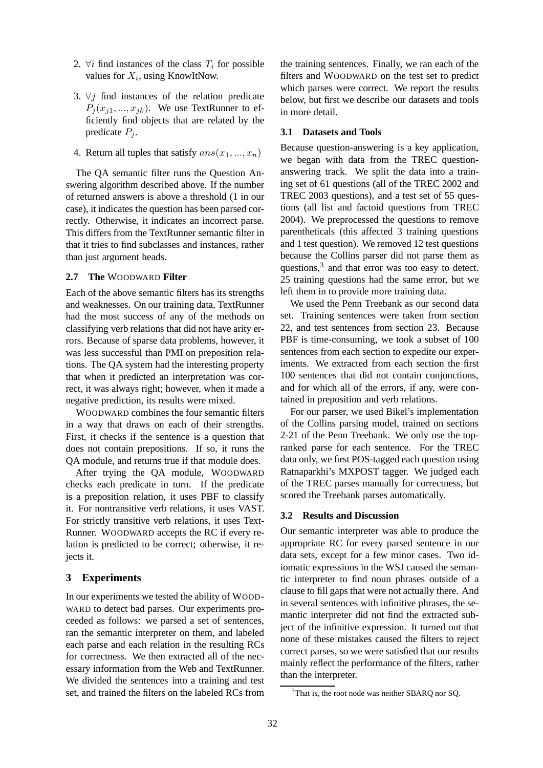- 2.  $\forall i$  find instances of the class  $T_i$  for possible values for  $X_i$ , using KnowItNow.
- 3.  $\forall j$  find instances of the relation predicate  $P_i(x_{i1},..., x_{ik})$ . We use TextRunner to efficiently find objects that are related by the predicate  $P_i$ .
- 4. Return all tuples that satisfy  $ans(x_1, ..., x_n)$

The QA semantic filter runs the Question Answering algorithm described above. If the number of returned answers is above a threshold (1 in our case), it indicates the question has been parsed correctly. Otherwise, it indicates an incorrect parse. This differs from the TextRunner semantic filter in that it tries to find subclasses and instances, rather than just argument heads.

#### **2.7 The** WOODWARD **Filter**

Each of the above semantic filters has its strengths and weaknesses. On our training data, TextRunner had the most success of any of the methods on classifying verb relations that did not have arity errors. Because of sparse data problems, however, it was less successful than PMI on preposition relations. The QA system had the interesting property that when it predicted an interpretation was correct, it was always right; however, when it made a negative prediction, its results were mixed.

WOODWARD combines the four semantic filters in a way that draws on each of their strengths. First, it checks if the sentence is a question that does not contain prepositions. If so, it runs the QA module, and returns true if that module does.

After trying the QA module, WOODWARD checks each predicate in turn. If the predicate is a preposition relation, it uses PBF to classify it. For nontransitive verb relations, it uses VAST. For strictly transitive verb relations, it uses Text-Runner. WOODWARD accepts the RC if every relation is predicted to be correct; otherwise, it rejects it.

#### **3 Experiments**

In our experiments we tested the ability of WOOD-WARD to detect bad parses. Our experiments proceeded as follows: we parsed a set of sentences, ran the semantic interpreter on them, and labeled each parse and each relation in the resulting RCs for correctness. We then extracted all of the necessary information from the Web and TextRunner. We divided the sentences into a training and test set, and trained the filters on the labeled RCs from

the training sentences. Finally, we ran each of the filters and WOODWARD on the test set to predict which parses were correct. We report the results below, but first we describe our datasets and tools in more detail.

#### **3.1 Datasets and Tools**

Because question-answering is a key application, we began with data from the TREC questionanswering track. We split the data into a training set of 61 questions (all of the TREC 2002 and TREC 2003 questions), and a test set of 55 questions (all list and factoid questions from TREC 2004). We preprocessed the questions to remove parentheticals (this affected 3 training questions and 1 test question). We removed 12 test questions because the Collins parser did not parse them as questions,<sup>3</sup> and that error was too easy to detect. 25 training questions had the same error, but we left them in to provide more training data.

We used the Penn Treebank as our second data set. Training sentences were taken from section 22, and test sentences from section 23. Because PBF is time-consuming, we took a subset of 100 sentences from each section to expedite our experiments. We extracted from each section the first 100 sentences that did not contain conjunctions, and for which all of the errors, if any, were contained in preposition and verb relations.

For our parser, we used Bikel's implementation of the Collins parsing model, trained on sections 2-21 of the Penn Treebank. We only use the topranked parse for each sentence. For the TREC data only, we first POS-tagged each question using Ratnaparkhi's MXPOST tagger. We judged each of the TREC parses manually for correctness, but scored the Treebank parses automatically.

#### **3.2 Results and Discussion**

Our semantic interpreter was able to produce the appropriate RC for every parsed sentence in our data sets, except for a few minor cases. Two idiomatic expressions in the WSJ caused the semantic interpreter to find noun phrases outside of a clause to fill gaps that were not actually there. And in several sentences with infinitive phrases, the semantic interpreter did not find the extracted subject of the infinitive expression. It turned out that none of these mistakes caused the filters to reject correct parses, so we were satisfied that our results mainly reflect the performance of the filters, rather than the interpreter.

<sup>&</sup>lt;sup>3</sup>That is, the root node was neither SBARQ nor SQ.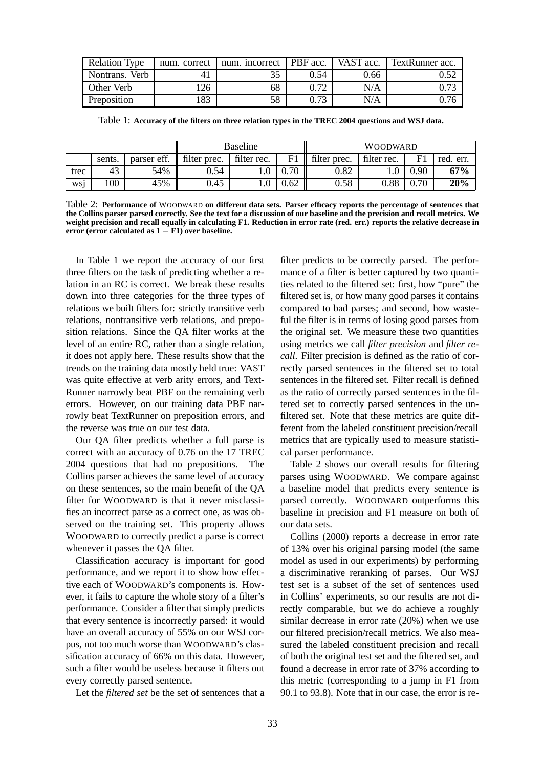| <b>Relation Type</b> | num. correct | num. incorrect   PBF acc. |      | VAST acc. | <b>TextRunner</b> acc. |
|----------------------|--------------|---------------------------|------|-----------|------------------------|
| Nontrans. Verb       |              |                           | 0.54 | 0.66      |                        |
| Other Verb           | 126          | 68                        | 0.72 | N/A       | 72 (،                  |
| Preposition          | 183          | 58                        | 0.73 | N/A       |                        |

Table 1: **Accuracy of the filters on three relation types in the TREC 2004 questions and WSJ data.**

|      |              |             | <b>Baseline</b> |             |      | <b>WOODWARD</b> |              |            |           |
|------|--------------|-------------|-----------------|-------------|------|-----------------|--------------|------------|-----------|
|      | sents.       | parser eff. | filter prec.    | filter rec. |      | filter prec.    | filter rec.  | E1         | red. err. |
| trec | $\sim$<br>43 | 54%         | 0.54            |             | 70   | $\rm 0.82$      | $_{\rm 0.1}$ | .).90      | 67%       |
| wsi  | 100          | 45%         | 0.45            |             | 0.62 | 0.58            | 0.88         | $\rm 0.70$ | 20%       |

Table 2: **Performance of** WOODWARD **on different data sets. Parser efficacy reports the percentage of sentences that** the Collins parser parsed correctly. See the text for a discussion of our baseline and the precision and recall metrics. We weight precision and recall equally in calculating F1. Reduction in error rate (red. err.) reports the relative decrease in **error (error calculated as 1** − **F1) over baseline.**

In Table 1 we report the accuracy of our first three filters on the task of predicting whether a relation in an RC is correct. We break these results down into three categories for the three types of relations we built filters for: strictly transitive verb relations, nontransitive verb relations, and preposition relations. Since the QA filter works at the level of an entire RC, rather than a single relation, it does not apply here. These results show that the trends on the training data mostly held true: VAST was quite effective at verb arity errors, and Text-Runner narrowly beat PBF on the remaining verb errors. However, on our training data PBF narrowly beat TextRunner on preposition errors, and the reverse was true on our test data.

Our QA filter predicts whether a full parse is correct with an accuracy of 0.76 on the 17 TREC 2004 questions that had no prepositions. The Collins parser achieves the same level of accuracy on these sentences, so the main benefit of the QA filter for WOODWARD is that it never misclassifies an incorrect parse as a correct one, as was observed on the training set. This property allows WOODWARD to correctly predict a parse is correct whenever it passes the QA filter.

Classification accuracy is important for good performance, and we report it to show how effective each of WOODWARD's components is. However, it fails to capture the whole story of a filter's performance. Consider a filter that simply predicts that every sentence is incorrectly parsed: it would have an overall accuracy of 55% on our WSJ corpus, not too much worse than WOODWARD's classification accuracy of 66% on this data. However, such a filter would be useless because it filters out every correctly parsed sentence.

Let the *filtered set* be the set of sentences that a

filter predicts to be correctly parsed. The performance of a filter is better captured by two quantities related to the filtered set: first, how "pure" the filtered set is, or how many good parses it contains compared to bad parses; and second, how wasteful the filter is in terms of losing good parses from the original set. We measure these two quantities using metrics we call *filter precision* and *filter recall*. Filter precision is defined as the ratio of correctly parsed sentences in the filtered set to total sentences in the filtered set. Filter recall is defined as the ratio of correctly parsed sentences in the filtered set to correctly parsed sentences in the unfiltered set. Note that these metrics are quite different from the labeled constituent precision/recall metrics that are typically used to measure statistical parser performance.

Table 2 shows our overall results for filtering parses using WOODWARD. We compare against a baseline model that predicts every sentence is parsed correctly. WOODWARD outperforms this baseline in precision and F1 measure on both of our data sets.

Collins (2000) reports a decrease in error rate of 13% over his original parsing model (the same model as used in our experiments) by performing a discriminative reranking of parses. Our WSJ test set is a subset of the set of sentences used in Collins' experiments, so our results are not directly comparable, but we do achieve a roughly similar decrease in error rate (20%) when we use our filtered precision/recall metrics. We also measured the labeled constituent precision and recall of both the original test set and the filtered set, and found a decrease in error rate of 37% according to this metric (corresponding to a jump in F1 from 90.1 to 93.8). Note that in our case, the error is re